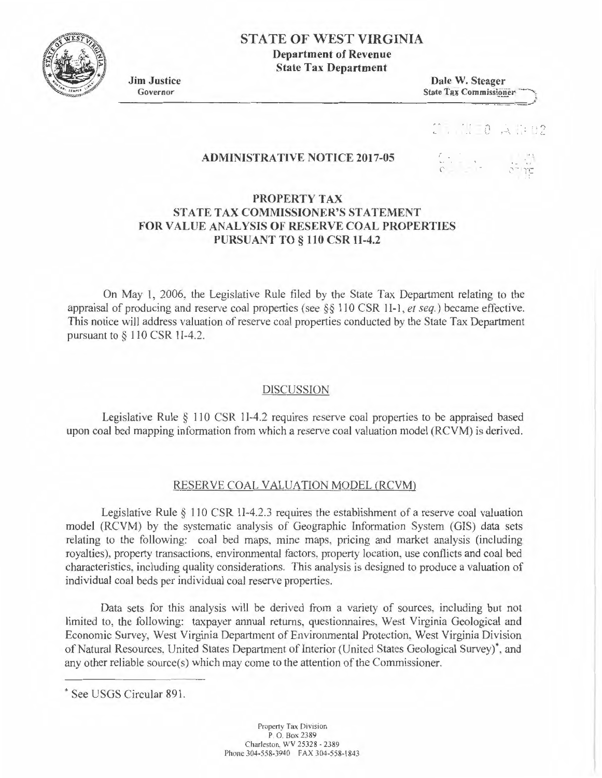

# **STATE OF WEST VIRGINIA**

Department of Revenue State Tax Department

Jim Justice Dale W. Steager<br>
Governor State Tax Commission **State Tax Commissioner** Governor<br>
State Tax Commissioner

 $\begin{bmatrix} 0 & \mathbf{A} & \mathbf{B} & \mathbf{B} \end{bmatrix}$ 

### ADMINISTRATIVE NOTICE 2017-05

""\ ., .. -

## PROPERTY TAX STATE TAX COMMISSIONER'S STATEMENT FOR VALUE ANALYSIS OF RESERVE COAL PROPERTIES PURSUANT TO§ 110 CSR JI-4.2

On May I, 2006, the Legislative Rule filed by the State Tax Department relating to the appraisal of producing and reserve coal properties (see§§ 110 CSR II-I , *et seq.)* became effective. This notice will address valuation of reserve coal properties conducted by the State Tax Department pursuant to § 110 CSR 11-4.2.

### DISCUSSION

Legislative Rule  $\S$  110 CSR 1I-4.2 requires reserve coal properties to be appraised based upon coal bed mapping information from which a reserve coal valuation model (RCVM) is derived.

### RESERVE COAL VALUATION MODEL (RCVM)

Legislative Rule  $\S$  110 CSR 1I-4.2.3 requires the establishment of a reserve coal valuation model (RCVM) by the systematic analysis of Geographic Information System (GIS) data sets relating to the following: coal bed maps, mine maps, pricing and market analysis (including royalties), property transactions, environmental factors. property location. use conflicts and coal bed characteristics, including quality considerations. This analysis is designed to produce a valuation of individual coal beds per individual coal reserve properties.

Data sets for this analysis will be derived from a variety of sources, including but not limited to, the following: taxpayer annual returns, questionnaires. West Virginia Geological and Economic Survey, West Virginia Department of Environmental Protection. West Virginia Division of Natural Resources, United States Department of Interior (United States Geological Survey)\*, and any other reliable source(s) which may come to the attention of the Commissioner.

<sup>•</sup> See USGS Circular 891.